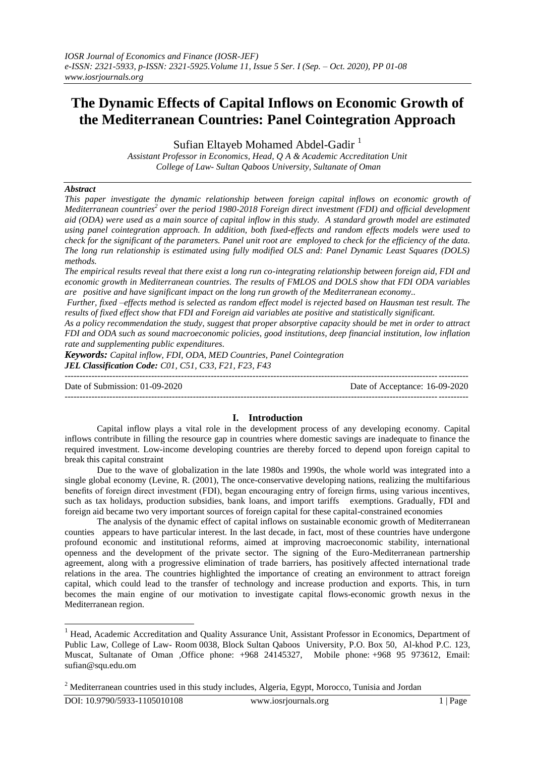# **The Dynamic Effects of Capital Inflows on Economic Growth of the Mediterranean Countries: Panel Cointegration Approach**

Sufian Eltayeb Mohamed Abdel-Gadir<sup>1</sup>

*Assistant Professor in Economics, Head, Q A & Academic Accreditation Unit College of Law- Sultan Qaboos University, Sultanate of Oman* 

#### *Abstract*

*This paper investigate the dynamic relationship between foreign capital inflows on economic growth of Mediterranean countries<sup>2</sup> over the period 1980-2018 Foreign direct investment (FDI) and official development aid (ODA) were used as a main source of capital inflow in this study. A standard growth model are estimated using panel cointegration approach. In addition, both fixed-effects and random effects models were used to check for the significant of the parameters. Panel unit root are employed to check for the efficiency of the data. The long run relationship is estimated using fully modified OLS and: Panel Dynamic Least Squares (DOLS) methods.* 

*The empirical results reveal that there exist a long run co-integrating relationship between foreign aid, FDI and economic growth in Mediterranean countries. The results of FMLOS and DOLS show that FDI ODA variables are positive and have significant impact on the long run growth of the Mediterranean economy..* 

*Further, fixed –effects method is selected as random effect model is rejected based on Hausman test result. The results of fixed effect show that FDI and Foreign aid variables ate positive and statistically significant.*

*As a policy recommendation the study, suggest that proper absorptive capacity should be met in order to attract FDI and ODA such as sound macroeconomic policies, good institutions, deep financial institution, low inflation rate and supplementing public expenditures.*

*Keywords: Capital inflow, FDI, ODA, MED Countries, Panel Cointegration JEL Classification Code: C01, C51, C33, F21, F23, F43*

---------------------------------------------------------------------------------------------------------------------------------------

Date of Submission: 01-09-2020 Date of Acceptance: 16-09-2020 ---------------------------------------------------------------------------------------------------------------------------------------

#### **I. Introduction**

Capital inflow plays a vital role in the development process of any developing economy. Capital inflows contribute in filling the resource gap in countries where domestic savings are inadequate to finance the required investment. Low-income developing countries are thereby forced to depend upon foreign capital to break this capital constraint

Due to the wave of globalization in the late 1980s and 1990s, the whole world was integrated into a single global economy (Levine, R. (2001), The once-conservative developing nations, realizing the multifarious benefits of foreign direct investment (FDI), began encouraging entry of foreign firms, using various incentives, such as tax holidays, production subsidies, bank loans, and import tariffs exemptions. Gradually, FDI and foreign aid became two very important sources of foreign capital for these capital-constrained economies

The analysis of the dynamic effect of capital inflows on sustainable economic growth of Mediterranean counties appears to have particular interest. In the last decade, in fact, most of these countries have undergone profound economic and institutional reforms, aimed at improving macroeconomic stability, international openness and the development of the private sector. The signing of the Euro-Mediterranean partnership agreement, along with a progressive elimination of trade barriers, has positively affected international trade relations in the area. The countries highlighted the importance of creating an environment to attract foreign capital, which could lead to the transfer of technology and increase production and exports. This, in turn becomes the main engine of our motivation to investigate capital flows-economic growth nexus in the Mediterranean region.

-

<sup>&</sup>lt;sup>1</sup> Head, Academic Accreditation and Quality Assurance Unit, Assistant Professor in Economics, Department of Public Law, College of Law- Room 0038, Block Sultan Qaboos University, P.O. Box 50, Al-khod P.C. 123, Muscat, Sultanate of Oman ,Office phone: +968 24145327, Mobile phone: +968 95 973612, Email: [sufian@squ.edu.om](mailto:sufian@squ.edu.om)

<sup>&</sup>lt;sup>2</sup> Mediterranean countries used in this study includes, Algeria, Egypt, Morocco, Tunisia and Jordan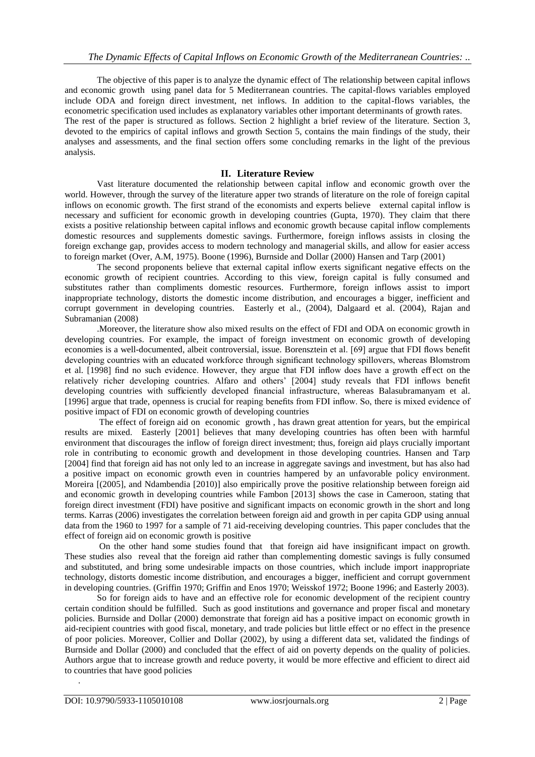The objective of this paper is to analyze the dynamic effect of The relationship between capital inflows and economic growth using panel data for 5 Mediterranean countries. The capital-flows variables employed include ODA and foreign direct investment, net inflows. In addition to the capital-flows variables, the econometric specification used includes as explanatory variables other important determinants of growth rates. The rest of the paper is structured as follows. Section 2 highlight a brief review of the literature. Section 3, devoted to the empirics of capital inflows and growth Section 5, contains the main findings of the study, their analyses and assessments, and the final section offers some concluding remarks in the light of the previous analysis.

## **II. Literature Review**

Vast literature documented the relationship between capital inflow and economic growth over the world. However, through the survey of the literature apper two strands of literature on the role of foreign capital inflows on economic growth. The first strand of the economists and experts believe external capital inflow is necessary and sufficient for economic growth in developing countries (Gupta, 1970). They claim that there exists a positive relationship between capital inflows and economic growth because capital inflow complements domestic resources and supplements domestic savings. Furthermore, foreign inflows assists in closing the foreign exchange gap, provides access to modern technology and managerial skills, and allow for easier access to foreign market (Over, A.M, 1975). Boone (1996), Burnside and Dollar (2000) Hansen and Tarp (2001)

The second proponents believe that external capital inflow exerts significant negative effects on the economic growth of recipient countries. According to this view, foreign capital is fully consumed and substitutes rather than compliments domestic resources. Furthermore, foreign inflows assist to import inappropriate technology, distorts the domestic income distribution, and encourages a bigger, inefficient and corrupt government in developing countries. Easterly et al., (2004), Dalgaard et al. (2004), Rajan and Subramanian (2008)

.Moreover, the literature show also mixed results on the effect of FDI and ODA on economic growth in developing countries. For example, the impact of foreign investment on economic growth of developing economies is a well-documented, albeit controversial, issue. Borensztein et al. [69] argue that FDI flows benefit developing countries with an educated workforce through significant technology spillovers, whereas Blomstrom et al. [1998] find no such evidence. However, they argue that FDI inflow does have a growth eff ect on the relatively richer developing countries. Alfaro and others' [2004] study reveals that FDI inflows benefit developing countries with sufficiently developed financial infrastructure, whereas Balasubramanyam et al. [1996] argue that trade, openness is crucial for reaping benefits from FDI inflow. So, there is mixed evidence of positive impact of FDI on economic growth of developing countries

The effect of foreign aid on economic growth , has drawn great attention for years, but the empirical results are mixed. Easterly [2001] believes that many developing countries has often been with harmful environment that discourages the inflow of foreign direct investment; thus, foreign aid plays crucially important role in contributing to economic growth and development in those developing countries. Hansen and Tarp [2004] find that foreign aid has not only led to an increase in aggregate savings and investment, but has also had a positive impact on economic growth even in countries hampered by an unfavorable policy environment. Moreira [(2005], and Ndambendia [2010)] also empirically prove the positive relationship between foreign aid and economic growth in developing countries while Fambon [2013] shows the case in Cameroon, stating that foreign direct investment (FDI) have positive and significant impacts on economic growth in the short and long terms. Karras (2006) investigates the correlation between foreign aid and growth in per capita GDP using annual data from the 1960 to 1997 for a sample of 71 aid-receiving developing countries. This paper concludes that the effect of foreign aid on economic growth is positive

On the other hand some studies found that that foreign aid have insignificant impact on growth. These studies also reveal that the foreign aid rather than complementing domestic savings is fully consumed and substituted, and bring some undesirable impacts on those countries, which include import inappropriate technology, distorts domestic income distribution, and encourages a bigger, inefficient and corrupt government in developing countries. (Griffin 1970; Griffin and Enos 1970; Weisskof 1972; Boone 1996; and Easterly 2003).

So for foreign aids to have and an effective role for economic development of the recipient country certain condition should be fulfilled. Such as good institutions and governance and proper fiscal and monetary policies. Burnside and Dollar (2000) demonstrate that foreign aid has a positive impact on economic growth in aid-recipient countries with good fiscal, monetary, and trade policies but little effect or no effect in the presence of poor policies. Moreover, Collier and Dollar (2002), by using a different data set, validated the findings of Burnside and Dollar (2000) and concluded that the effect of aid on poverty depends on the quality of policies. Authors argue that to increase growth and reduce poverty, it would be more effective and efficient to direct aid to countries that have good policies

.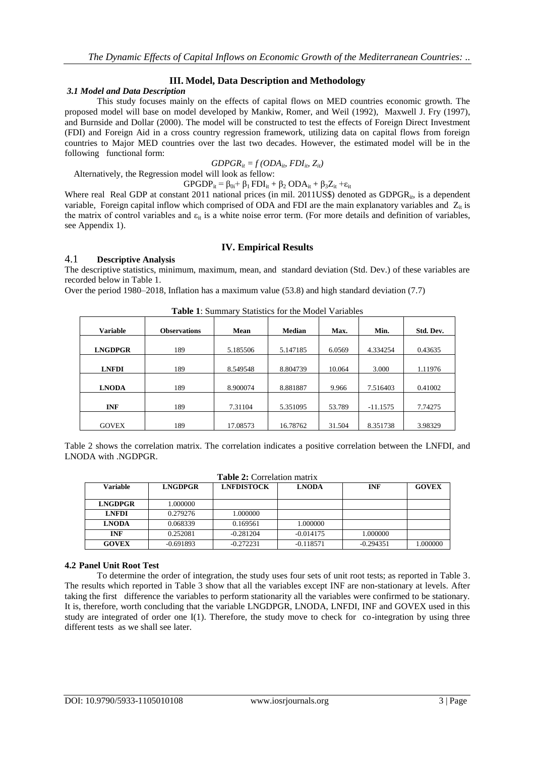## **III. Model, Data Description and Methodology**

#### *3.1 Model and Data Description*

This study focuses mainly on the effects of capital flows on MED countries economic growth. The proposed model will base on model developed by Mankiw, Romer, and Weil (1992), Maxwell J. Fry (1997), and Burnside and Dollar (2000). The model will be constructed to test the effects of Foreign Direct Investment (FDI) and Foreign Aid in a cross country regression framework, utilizing data on capital flows from foreign countries to Major MED countries over the last two decades. However, the estimated model will be in the following functional form:

$$
GDPGR_{it} = f(ODA_{it}, FDI_{it}, Z_{it})
$$

Alternatively, the Regression model will look as fellow:

 $GPGDP_{it} = \beta_{0i} + \beta_1 FDI_{it} + \beta_2 ODA_{it} + \beta_3 Z_{it} + \varepsilon_{it}$ 

Where real Real GDP at constant 2011 national prices (in mil. 2011US\$) denoted as GDPGR<sub>it</sub>, is a dependent variable, Foreign capital inflow which comprised of ODA and FDI are the main explanatory variables and  $Z_{it}$  is the matrix of control variables and  $\varepsilon_{it}$  is a white noise error term. (For more details and definition of variables, see Appendix 1).

## **IV. Empirical Results**

#### 4.1 **Descriptive Analysis**

The descriptive statistics, minimum, maximum, mean, and standard deviation (Std. Dev.) of these variables are recorded below in Table 1.

Over the period 1980–2018, Inflation has a maximum value (53.8) and high standard deviation (7.7)

| <b>Variable</b> | <b>Observations</b> | Mean     | <b>Median</b> | Max.   | Min.       | Std. Dev. |
|-----------------|---------------------|----------|---------------|--------|------------|-----------|
| <b>LNGDPGR</b>  | 189                 | 5.185506 | 5.147185      | 6.0569 | 4.334254   | 0.43635   |
| <b>LNFDI</b>    |                     |          |               | 10.064 |            |           |
|                 | 189                 | 8.549548 | 8.804739      |        | 3.000      | 1.11976   |
| <b>LNODA</b>    | 189                 | 8.900074 | 8.881887      | 9.966  | 7.516403   | 0.41002   |
| <b>INF</b>      | 189                 | 7.31104  | 5.351095      | 53.789 | $-11.1575$ | 7.74275   |
| <b>GOVEX</b>    | 189                 | 17.08573 | 16.78762      | 31.504 | 8.351738   | 3.98329   |

**Table 1**: Summary Statistics for the Model Variables

Table 2 shows the correlation matrix. The correlation indicates a positive correlation between the LNFDI, and LNODA with .NGDPGR.

**Table 2:** Correlation matrix

| <b>Variable</b> | <b>LNGDPGR</b> | <b>LNFDISTOCK</b> | <b>LNODA</b> | <b>INF</b>  | <b>GOVEX</b> |
|-----------------|----------------|-------------------|--------------|-------------|--------------|
| <b>LNGDPGR</b>  | 1.000000       |                   |              |             |              |
| <b>LNFDI</b>    | 0.279276       | .000000           |              |             |              |
| <b>LNODA</b>    | 0.068339       | 0.169561          | 1.000000     |             |              |
| <b>INF</b>      | 0.252081       | $-0.281204$       | $-0.014175$  | 1.000000    |              |
| <b>GOVEX</b>    | $-0.691893$    | $-0.272231$       | $-0.118571$  | $-0.294351$ | 1.000000     |

## **4.2 Panel Unit Root Test**

To determine the order of integration, the study uses four sets of unit root tests; as reported in Table 3. The results which reported in Table 3 show that all the variables except INF are non-stationary at levels. After taking the first difference the variables to perform stationarity all the variables were confirmed to be stationary. It is, therefore, worth concluding that the variable LNGDPGR, LNODA, LNFDI, INF and GOVEX used in this study are integrated of order one I(1). Therefore, the study move to check for co-integration by using three different tests as we shall see later.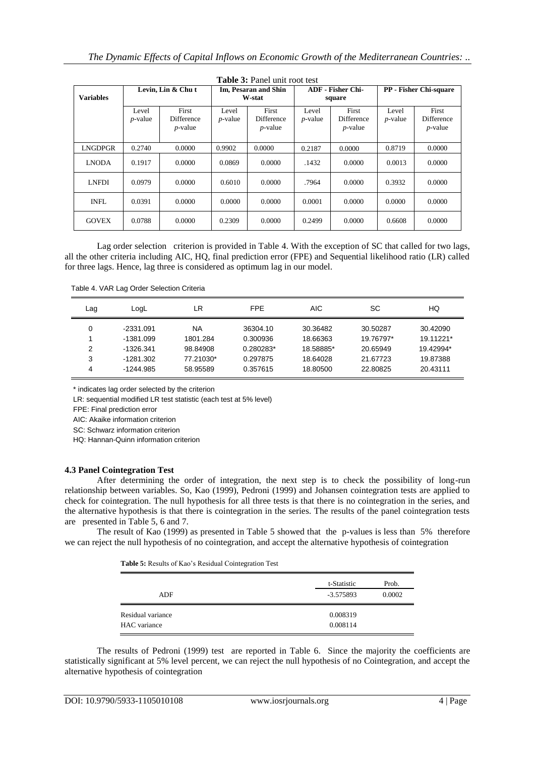|                  |                          |                                   |                     | <b>Table 3: Panel unit root test</b>          |                     |                                          |                     |                                          |
|------------------|--------------------------|-----------------------------------|---------------------|-----------------------------------------------|---------------------|------------------------------------------|---------------------|------------------------------------------|
| <b>Variables</b> |                          | Levin, Lin & Chu t                |                     | Im, Pesaran and Shin<br>W-stat                |                     | <b>ADF</b> - Fisher Chi-<br>square       |                     | <b>PP</b> - Fisher Chi-square            |
|                  | Level<br><i>p</i> -value | First<br>Difference<br>$p$ -value | Level<br>$p$ -value | First<br><b>Difference</b><br><i>p</i> -value | Level<br>$p$ -value | First<br><b>Difference</b><br>$p$ -value | Level<br>$p$ -value | First<br><b>Difference</b><br>$p$ -value |
| LNGDPGR          | 0.2740                   | 0.0000                            | 0.9902              | 0.0000                                        | 0.2187              | 0.0000                                   | 0.8719              | 0.0000                                   |
| <b>LNODA</b>     | 0.1917                   | 0.0000                            | 0.0869              | 0.0000                                        | .1432               | 0.0000                                   | 0.0013              | 0.0000                                   |
| <b>LNFDI</b>     | 0.0979                   | 0.0000                            | 0.6010              | 0.0000                                        | .7964               | 0.0000                                   | 0.3932              | 0.0000                                   |
| INFL.            | 0.0391                   | 0.0000                            | 0.0000              | 0.0000                                        | 0.0001              | 0.0000                                   | 0.0000              | 0.0000                                   |
| <b>GOVEX</b>     | 0.0788                   | 0.0000                            | 0.2309              | 0.0000                                        | 0.2499              | 0.0000                                   | 0.6608              | 0.0000                                   |

Lag order selection criterion is provided in Table 4. With the exception of SC that called for two lags, all the other criteria including AIC, HQ, final prediction error (FPE) and Sequential likelihood ratio (LR) called for three lags. Hence, lag three is considered as optimum lag in our model.

Table 4. VAR Lag Order Selection Criteria

| Lag | LogL        | LR        | <b>FPE</b> | <b>AIC</b> | SC        | HQ        |
|-----|-------------|-----------|------------|------------|-----------|-----------|
| 0   | $-2331.091$ | NA        | 36304.10   | 30.36482   | 30.50287  | 30.42090  |
|     | $-1381.099$ | 1801.284  | 0.300936   | 18.66363   | 19.76797* | 19.11221* |
| 2   | $-1326.341$ | 98.84908  | 0.280283*  | 18.58885*  | 20.65949  | 19.42994* |
| 3   | $-1281.302$ | 77.21030* | 0.297875   | 18.64028   | 21.67723  | 19.87388  |
| 4   | -1244.985   | 58.95589  | 0.357615   | 18.80500   | 22.80825  | 20.43111  |

\* indicates lag order selected by the criterion

LR: sequential modified LR test statistic (each test at 5% level)

FPE: Final prediction error

AIC: Akaike information criterion

SC: Schwarz information criterion

HQ: Hannan-Quinn information criterion

## **4.3 Panel Cointegration Test**

After determining the order of integration, the next step is to check the possibility of long-run relationship between variables. So, Kao (1999), Pedroni (1999) and Johansen cointegration tests are applied to check for cointegration. The null hypothesis for all three tests is that there is no cointegration in the series, and the alternative hypothesis is that there is cointegration in the series. The results of the panel cointegration tests are presented in Table 5, 6 and 7.

The result of Kao (1999) as presented in Table 5 showed that the p-values is less than 5% therefore we can reject the null hypothesis of no cointegration, and accept the alternative hypothesis of cointegration

**Table 5:** Results of Kao's Residual Cointegration Test

| ADF                               | t-Statistic<br>$-3.575893$ | Prob.<br>0.0002 |
|-----------------------------------|----------------------------|-----------------|
| Residual variance<br>HAC variance | 0.008319<br>0.008114       |                 |

The results of Pedroni (1999) test are reported in Table 6. Since the majority the coefficients are statistically significant at 5% level percent, we can reject the null hypothesis of no Cointegration, and accept the alternative hypothesis of cointegration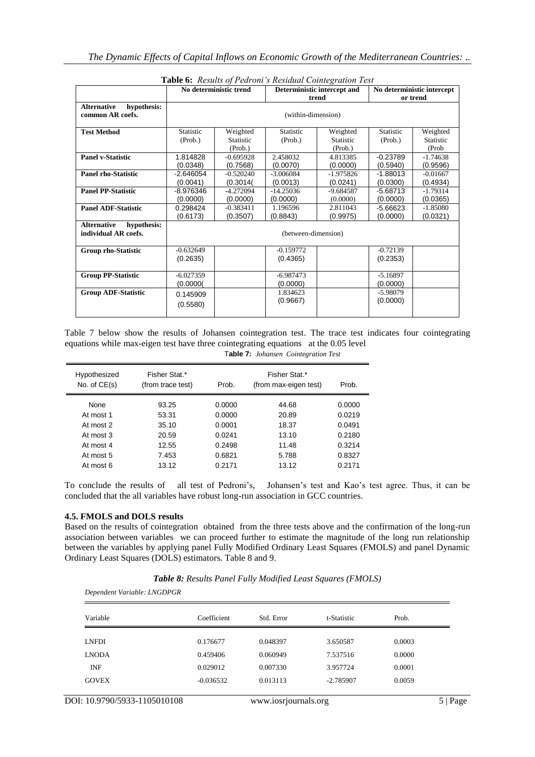|                                                           |                          | No deterministic trend                  | <b>Lable 0.</b> Results 0/1 early S Resultan Comiegration Test | Deterministic intercept and             |                        | No deterministic intercept     |
|-----------------------------------------------------------|--------------------------|-----------------------------------------|----------------------------------------------------------------|-----------------------------------------|------------------------|--------------------------------|
|                                                           |                          |                                         |                                                                | trend                                   |                        | or trend                       |
| <b>Alternative</b><br>hypothesis:<br>common AR coefs.     |                          |                                         | (within-dimension)                                             |                                         |                        |                                |
| <b>Test Method</b>                                        | Statistic<br>(Prob.)     | Weighted<br><b>Statistic</b><br>(Prob.) | Statistic<br>(Prob.)                                           | Weighted<br><b>Statistic</b><br>(Prob.) | Statistic<br>(Prob.)   | Weighted<br>Statistic<br>(Prob |
| <b>Panel v-Statistic</b>                                  | 1.814828<br>(0.0348)     | $-0.695928$<br>(0.7568)                 | 2.458032<br>(0.0070)                                           | 4.813385<br>(0.0000)                    | $-0.23789$<br>(0.5940) | $-1.74638$<br>(0.9596)         |
| <b>Panel rho-Statistic</b>                                | $-2.646054$<br>(0.0041)  | $-0.520240$<br>(0.3014(                 | $-3.006084$<br>(0.0013)                                        | $-1.975826$<br>(0.0241)                 | $-1.88013$<br>(0.0300) | $-0.01667$<br>(0.4934)         |
| <b>Panel PP-Statistic</b>                                 | $-8.976346$<br>(0.0000)  | $-4.272094$<br>(0.0000)                 | $-14.25036$<br>(0.0000)                                        | $-9.684587$<br>(0.0000)                 | $-5.68713$<br>(0.0000) | $-1.79314$<br>(0.0365)         |
| <b>Panel ADF-Statistic</b>                                | 0.298424<br>(0.6173)     | $-0.383411$<br>(0.3507)                 | 1.196596<br>(0.8843)                                           | 2.811043<br>(0.9975)                    | $-5.66623$<br>(0.0000) | $-1.85080$<br>(0.0321)         |
| <b>Alternative</b><br>hypothesis:<br>individual AR coefs. |                          |                                         | (between-dimension)                                            |                                         |                        |                                |
| <b>Group rho-Statistic</b>                                | $-0.632649$<br>(0.2635)  |                                         | $-0.159772$<br>(0.4365)                                        |                                         | $-0.72139$<br>(0.2353) |                                |
| <b>Group PP-Statistic</b>                                 | $-6.027359$<br>(0.0000() |                                         | $-6.987473$<br>(0.0000)                                        |                                         | $-5.16897$<br>(0.0000) |                                |
| <b>Group ADF-Statistic</b>                                | 0.145909<br>(0.5580)     |                                         | 1.834623<br>(0.9667)                                           |                                         | $-5.98079$<br>(0.0000) |                                |

**Table 6:** *Results of Pedroni's Residual Cointegration Test*

Table 7 below show the results of Johansen cointegration test. The trace test indicates four cointegrating equations while max-eigen test have three cointegrating equations at the 0.05 level T**able 7:** *Johansen Cointegration Test*

| Hypothesized<br>No. of $CE(s)$ | Fisher Stat.*<br>(from trace test) | Prob.  | Fisher Stat.*<br>(from max-eigen test) | Prob.  |
|--------------------------------|------------------------------------|--------|----------------------------------------|--------|
| <b>None</b>                    | 93.25                              | 0.0000 | 44.68                                  | 0.0000 |
| At most 1                      | 53.31                              | 0.0000 | 20.89                                  | 0.0219 |
| At most 2                      | 35.10                              | 0.0001 | 18.37                                  | 0.0491 |
| At most 3                      | 20.59                              | 0.0241 | 13.10                                  | 0.2180 |
| At most 4                      | 12.55                              | 0.2498 | 11.48                                  | 0.3214 |
| At most 5                      | 7.453                              | 0.6821 | 5.788                                  | 0.8327 |
| At most 6                      | 13.12                              | 0.2171 | 13.12                                  | 0.2171 |

To conclude the results of all test of Pedroni's, Johansen's test and Kao's test agree. Thus, it can be concluded that the all variables have robust long-run association in GCC countries.

## **4.5. FMOLS and DOLS results**

Based on the results of cointegration obtained from the three tests above and the confirmation of the long-run association between variables we can proceed further to estimate the magnitude of the long run relationship between the variables by applying panel Fully Modified Ordinary Least Squares (FMOLS) and panel Dynamic Ordinary Least Squares (DOLS) estimators. Table 8 and 9.

|  |  | <b>Table 8: Results Panel Fully Modified Least Squares (FMOLS)</b> |
|--|--|--------------------------------------------------------------------|
|--|--|--------------------------------------------------------------------|

*Dependent Variable: LNGDPGR* Variable Coefficient Std. Error t-Statistic Prob. LNFDI 0.176677 0.048397 3.650587 0.0003 LNODA 0.459406 0.060949 7.537516 0.0000 INF 0.029012 0.007330 3.957724 0.0001 GOVEX -0.036532 0.013113 -2.785907 0.0059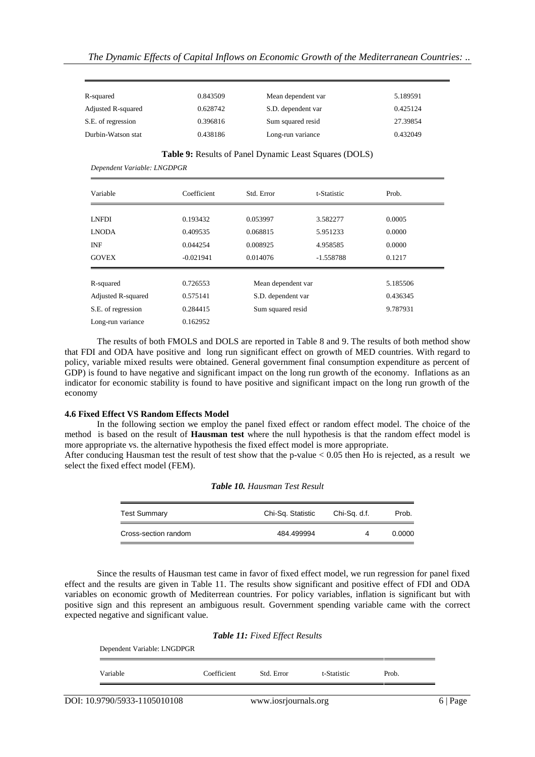| R-squared          | 0.843509 | Mean dependent var | 5.189591 |
|--------------------|----------|--------------------|----------|
| Adjusted R-squared | 0.628742 | S.D. dependent var | 0.425124 |
| S.E. of regression | 0.396816 | Sum squared resid  | 27.39854 |
| Durbin-Watson stat | 0.438186 | Long-run variance  | 0.432049 |

#### **Table 9:** Results of Panel Dynamic Least Squares (DOLS)

Variable Coefficient Std. Error t-Statistic Prob. LNFDI 0.193432 0.053997 3.582277 0.0005 LNODA 0.409535 0.068815 5.951233 0.0000 INF 0.044254 0.008925 4.958585 0.0000 GOVEX -0.021941 0.014076 -1.558788 0.1217 R-squared 0.726553 Mean dependent var 5.185506 Adjusted R-squared 0.575141 S.D. dependent var 0.436345 S.E. of regression 0.284415 Sum squared resid 9.787931 Long-run variance 0.162952

The results of both FMOLS and DOLS are reported in Table 8 and 9. The results of both method show that FDI and ODA have positive and long run significant effect on growth of MED countries. With regard to policy, variable mixed results were obtained. General government final consumption expenditure as percent of GDP) is found to have negative and significant impact on the long run growth of the economy. Inflations as an indicator for economic stability is found to have positive and significant impact on the long run growth of the economy

#### **4.6 Fixed Effect VS Random Effects Model**

*Dependent Variable: LNGDPGR*

In the following section we employ the panel fixed effect or random effect model. The choice of the method is based on the result of **Hausman test** where the null hypothesis is that the random effect model is more appropriate vs. the alternative hypothesis the fixed effect model is more appropriate.

After conducing Hausman test the result of test show that the p-value < 0.05 then Ho is rejected, as a result we select the fixed effect model (FEM).

| <b>Test Summary</b>  | Chi-Sq. Statistic | Chi-Sq. d.f. | Prob.  |
|----------------------|-------------------|--------------|--------|
| Cross-section random | 484.499994        | 4            | 0.0000 |

#### *Table 10. Hausman Test Result*

Since the results of Hausman test came in favor of fixed effect model, we run regression for panel fixed effect and the results are given in Table 11. The results show significant and positive effect of FDI and ODA variables on economic growth of Mediterrean countries. For policy variables, inflation is significant but with positive sign and this represent an ambiguous result. Government spending variable came with the correct expected negative and significant value.

| Dependent Variable: LNGDPGR |             |            |             |       |
|-----------------------------|-------------|------------|-------------|-------|
| Variable                    | Coefficient | Std. Error | t-Statistic | Prob. |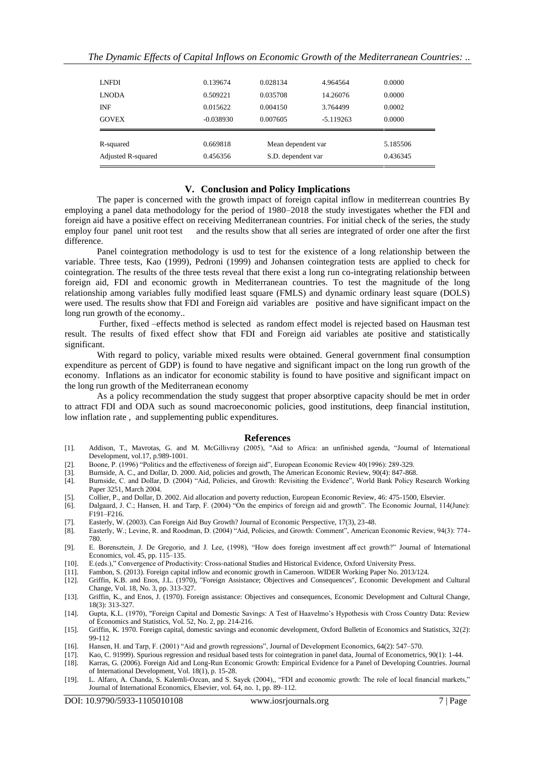| <b>LNFDI</b>       | 0.139674    | 0.028134           | 4.964564    | 0.0000   |
|--------------------|-------------|--------------------|-------------|----------|
| <b>LNODA</b>       | 0.509221    | 0.035708           | 14.26076    | 0.0000   |
| <b>INF</b>         | 0.015622    | 0.004150           | 3.764499    | 0.0002   |
| <b>GOVEX</b>       | $-0.038930$ | 0.007605           | $-5.119263$ | 0.0000   |
| R-squared          | 0.669818    | Mean dependent var |             | 5.185506 |
| Adjusted R-squared | 0.456356    | S.D. dependent var |             | 0.436345 |

#### **V. Conclusion and Policy Implications**

The paper is concerned with the growth impact of foreign capital inflow in mediterrean countries By employing a panel data methodology for the period of 1980–2018 the study investigates whether the FDI and foreign aid have a positive effect on receiving Mediterranean countries. For initial check of the series, the study employ four panel unit root test and the results show that all series are integrated of order one after the first difference.

Panel cointegration methodology is usd to test for the existence of a long relationship between the variable. Three tests, Kao (1999), Pedroni (1999) and Johansen cointegration tests are applied to check for cointegration. The results of the three tests reveal that there exist a long run co-integrating relationship between foreign aid, FDI and economic growth in Mediterranean countries. To test the magnitude of the long relationship among variables fully modified least square (FMLS) and dynamic ordinary least square (DOLS) were used. The results show that FDI and Foreign aid variables are positive and have significant impact on the long run growth of the economy..

Further, fixed –effects method is selected as random effect model is rejected based on Hausman test result. The results of fixed effect show that FDI and Foreign aid variables ate positive and statistically significant.

With regard to policy, variable mixed results were obtained. General government final consumption expenditure as percent of GDP) is found to have negative and significant impact on the long run growth of the economy. Inflations as an indicator for economic stability is found to have positive and significant impact on the long run growth of the Mediterranean economy

As a policy recommendation the study suggest that proper absorptive capacity should be met in order to attract FDI and ODA such as sound macroeconomic policies, good institutions, deep financial institution, low inflation rate , and supplementing public expenditures.

#### **References**

- [1]. Addison, T., Mavrotas, G. and M. McGillivray (2005), "Aid to Africa: an unfinished agenda, "Journal of International Development, vol.17, p.989-1001.
- [2]. Boone, P. (1996) "Politics and the effectiveness of foreign aid", European Economic Review 40(1996): 289-329.
- [3]. Burnside, A. C., and Dollar, D. 2000. Aid, policies and growth, The American Economic Review, 90(4): 847-868.
- [4]. Burnside, C. and Dollar, D. (2004) "Aid, Policies, and Growth: Revisiting the Evidence", World Bank Policy Research Working Paper 3251, March 2004.
- [5]. Collier, P., and Dollar, D. 2002. Aid allocation and poverty reduction, European Economic Review, 46: 475-1500, Elsevier.
- [6]. Dalgaard, J. C.; Hansen, H. and Tarp, F. (2004) "On the empirics of foreign aid and growth". The Economic Journal, 114(June): F191–F216.
- [7]. Easterly, W. (2003). Can Foreign Aid Buy Growth? Journal of Economic Perspective, 17(3), 23-48.
- [8]. Easterly, W.; Levine, R. and Roodman, D. (2004) "Aid, Policies, and Growth: Comment", American Economic Review, 94(3): 774- 780.
- [9]. E. Borensztein, J. De Gregorio, and J. Lee, (1998), "How does foreign investment aff ect growth?" Journal of International Economics, vol. 45, pp. 115–135.
- [10]. E.(eds.)," Convergence of Productivity: Cross-national Studies and Historical Evidence, Oxford University Press.
- [11]. Fambon, S. (2013). Foreign capital inflow and economic growth in Cameroon. WIDER Working Paper No. 2013/124.
- [12]. Griffin, K.B. and Enos, J.L. (1970), "Foreign Assistance; Objectives and Consequences", Economic Development and Cultural Change, Vol. 18, No. 3, pp. 313-327.
- [13]. Griffin, K., and Enos, J. (1970). Foreign assistance: Objectives and consequences, Economic Development and Cultural Change, 18(3): 313-327.
- [14]. Gupta, K.L. (1970), "Foreign Capital and Domestic Savings: A Test of Haavelmo's Hypothesis with Cross Country Data: Review of Economics and Statistics, Vol. 52, No. 2, pp. 214-216.
- [15]. Griffin, K. 1970. Foreign capital, domestic savings and economic development, Oxford Bulletin of Economics and Statistics, 32(2): 99-112
- [16]. Hansen, H. and Tarp, F. (2001) "Aid and growth regressions", Journal of Development Economics, 64(2): 547–570.
- [17]. Kao, C. 91999). Spurious regression and residual based tests for cointegration in panel data, Journal of Econometrics, 90(1): 1-44.
- [18]. Karras, G. (2006). Foreign Aid and Long-Run Economic Growth: Empirical Evidence for a Panel of Developing Countries. Journal of International Development, Vol. 18(1), p. 15-28.
- [19]. L. Alfaro, A. Chanda, S. Kalemli-Ozcan, and S. Sayek (2004),, "FDI and economic growth: The role of local financial markets," Journal of International Economics, Elsevier, vol. 64, no. 1, pp. 89–112.